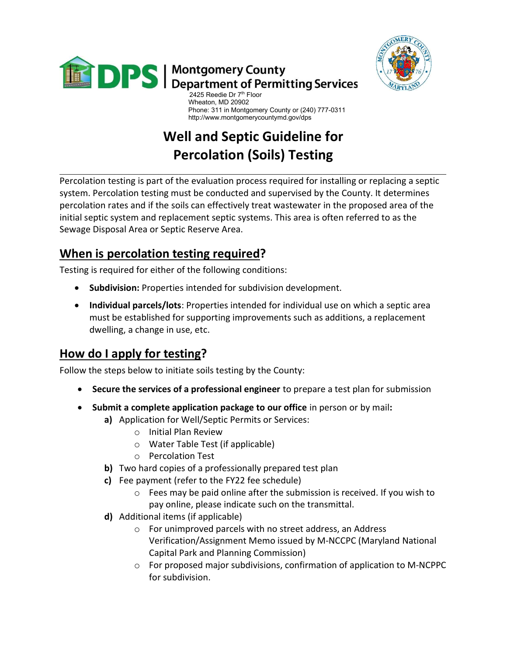



 Phone: 311 in Montgomery County or (240) 777-0311 http://www.montgomerycountymd.gov/dps

# Well and Septic Guideline for Percolation (Soils) Testing

Percolation testing is part of the evaluation process required for installing or replacing a septic system. Percolation testing must be conducted and supervised by the County. It determines percolation rates and if the soils can effectively treat wastewater in the proposed area of the initial septic system and replacement septic systems. This area is often referred to as the Sewage Disposal Area or Septic Reserve Area.

## When is percolation testing required?

Testing is required for either of the following conditions:

- Subdivision: Properties intended for subdivision development.
- Individual parcels/lots: Properties intended for individual use on which a septic area must be established for supporting improvements such as additions, a replacement dwelling, a change in use, etc.

## How do I apply for testing?

Follow the steps below to initiate soils testing by the County:

- Secure the services of a professional engineer to prepare a test plan for submission
- Submit a complete application package to our office in person or by mail:
	- a) Application for Well/Septic Permits or Services:
		- o Initial Plan Review
		- o Water Table Test (if applicable)
		- o Percolation Test
	- b) Two hard copies of a professionally prepared test plan
	- c) Fee payment (refer to the FY22 fee schedule)
		- o Fees may be paid online after the submission is received. If you wish to pay online, please indicate such on the transmittal.
	- d) Additional items (if applicable)
		- o For unimproved parcels with no street address, an Address Verification/Assignment Memo issued by M-NCCPC (Maryland National Capital Park and Planning Commission)
		- o For proposed major subdivisions, confirmation of application to M-NCPPC for subdivision.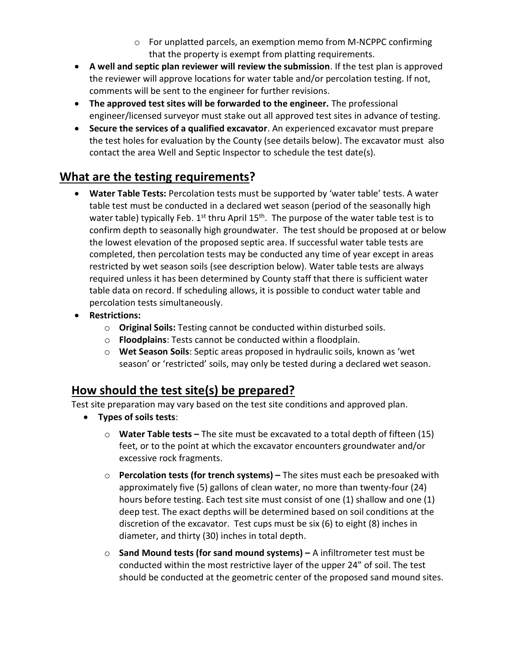- o For unplatted parcels, an exemption memo from M-NCPPC confirming that the property is exempt from platting requirements.
- A well and septic plan reviewer will review the submission. If the test plan is approved the reviewer will approve locations for water table and/or percolation testing. If not, comments will be sent to the engineer for further revisions.
- The approved test sites will be forwarded to the engineer. The professional engineer/licensed surveyor must stake out all approved test sites in advance of testing.
- Secure the services of a qualified excavator. An experienced excavator must prepare the test holes for evaluation by the County (see details below). The excavator must also contact the area Well and Septic Inspector to schedule the test date(s).

## What are the testing requirements?

- Water Table Tests: Percolation tests must be supported by 'water table' tests. A water table test must be conducted in a declared wet season (period of the seasonally high water table) typically Feb.  $1^{st}$  thru April  $15^{th}$ . The purpose of the water table test is to confirm depth to seasonally high groundwater. The test should be proposed at or below the lowest elevation of the proposed septic area. If successful water table tests are completed, then percolation tests may be conducted any time of year except in areas restricted by wet season soils (see description below). Water table tests are always required unless it has been determined by County staff that there is sufficient water table data on record. If scheduling allows, it is possible to conduct water table and percolation tests simultaneously.
- Restrictions:
	- o Original Soils: Testing cannot be conducted within disturbed soils.
	- $\circ$  Floodplains: Tests cannot be conducted within a floodplain.
	- $\circ$  Wet Season Soils: Septic areas proposed in hydraulic soils, known as 'wet season' or 'restricted' soils, may only be tested during a declared wet season.

## How should the test site(s) be prepared?

Test site preparation may vary based on the test site conditions and approved plan.

- Types of soils tests:
	- $\circ$  Water Table tests The site must be excavated to a total depth of fifteen (15) feet, or to the point at which the excavator encounters groundwater and/or excessive rock fragments.
	- $\circ$  Percolation tests (for trench systems) The sites must each be presoaked with approximately five (5) gallons of clean water, no more than twenty-four (24) hours before testing. Each test site must consist of one (1) shallow and one (1) deep test. The exact depths will be determined based on soil conditions at the discretion of the excavator. Test cups must be six (6) to eight (8) inches in diameter, and thirty (30) inches in total depth.
	- $\circ$  Sand Mound tests (for sand mound systems) A infiltrometer test must be conducted within the most restrictive layer of the upper 24" of soil. The test should be conducted at the geometric center of the proposed sand mound sites.